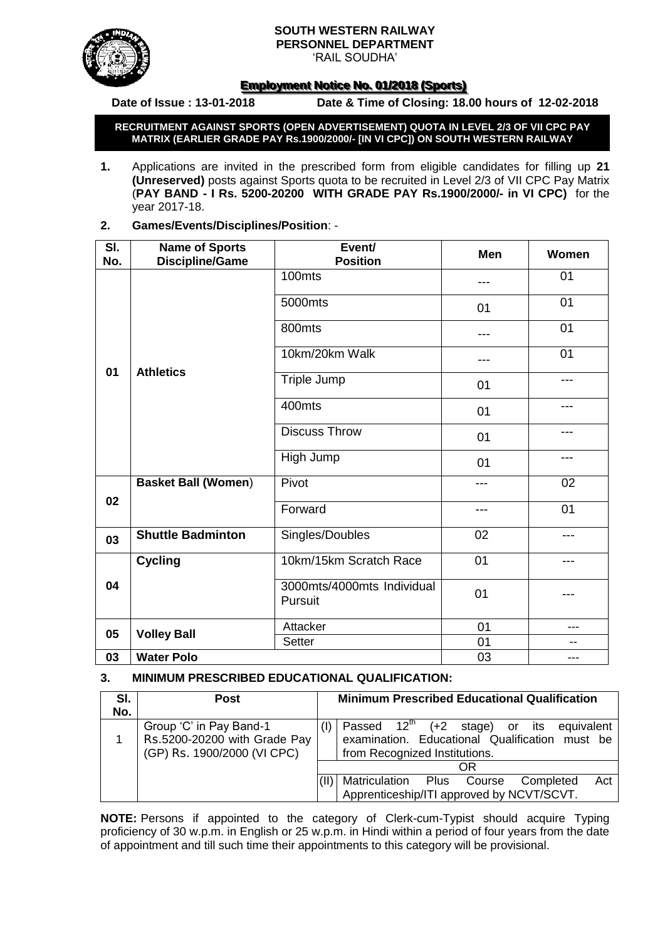#### **SOUTH WESTERN RAILWAY PERSONNEL DEPARTMENT**



'RAIL SOUDHA'

# **<u>Employment Notice No. 01/2018 (Sports)</u>**

**Date of Issue : 13-01-2018 Date & Time of Closing: 18.00 hours of 12-02-2018**

**RECRUITMENT AGAINST SPORTS (OPEN ADVERTISEMENT) QUOTA IN LEVEL 2/3 OF VII CPC PAY MATRIX (EARLIER GRADE PAY Rs.1900/2000/- [IN VI CPC]) ON SOUTH WESTERN RAILWAY**

- **1.** Applications are invited in the prescribed form from eligible candidates for filling up **21 (Unreserved)** posts against Sports quota to be recruited in Level 2/3 of VII CPC Pay Matrix (**PAY BAND - I Rs. 5200-20200 WITH GRADE PAY Rs.1900/2000/- in VI CPC)** for the year 2017-18.
- **2. Games/Events/Disciplines/Position**: -

| SI. | <b>Name of Sports</b>      | Event/<br><b>Position</b>             | <b>Men</b> | Women |  |
|-----|----------------------------|---------------------------------------|------------|-------|--|
| No. | <b>Discipline/Game</b>     |                                       |            |       |  |
|     |                            | 100mts                                | ---        | 01    |  |
|     |                            | 5000mts                               | 01         | 01    |  |
|     |                            | 800mts                                |            | 01    |  |
|     |                            | 10km/20km Walk                        | ---        | 01    |  |
| 01  | <b>Athletics</b>           | Triple Jump                           | 01         | ---   |  |
|     |                            | 400mts                                | 01         | ---   |  |
|     |                            | <b>Discuss Throw</b>                  | 01         | ---   |  |
|     |                            | High Jump                             | 01         | ---   |  |
|     | <b>Basket Ball (Women)</b> | Pivot                                 | ---        | 02    |  |
| 02  |                            | Forward                               | ---        | 01    |  |
| 03  | <b>Shuttle Badminton</b>   | Singles/Doubles                       | 02         | ---   |  |
|     | <b>Cycling</b>             | 10km/15km Scratch Race                | 01         | ---   |  |
| 04  |                            | 3000mts/4000mts Individual<br>Pursuit | 01         |       |  |
|     |                            | Attacker                              | 01         | ---   |  |
| 05  | <b>Volley Ball</b>         | Setter                                | 01         | $-$   |  |
| 03  | <b>Water Polo</b>          | 03                                    | ---        |       |  |

# **3. MINIMUM PRESCRIBED EDUCATIONAL QUALIFICATION:**

| SI. | <b>Post</b>                                             | <b>Minimum Prescribed Educational Qualification</b> |                                                                                                        |  |  |  |  |
|-----|---------------------------------------------------------|-----------------------------------------------------|--------------------------------------------------------------------------------------------------------|--|--|--|--|
| No. |                                                         |                                                     |                                                                                                        |  |  |  |  |
|     | Group 'C' in Pay Band-1<br>Rs.5200-20200 with Grade Pay |                                                     | Passed $12^{\text{th}}$ (+2 stage) or its equivalent<br>examination. Educational Qualification must be |  |  |  |  |
|     | (GP) Rs. 1900/2000 (VI CPC)                             | from Recognized Institutions.                       |                                                                                                        |  |  |  |  |
|     |                                                         | ΩR                                                  |                                                                                                        |  |  |  |  |
|     |                                                         |                                                     | Matriculation Plus Course<br>Act<br>Completed                                                          |  |  |  |  |
|     |                                                         |                                                     | Apprenticeship/ITI approved by NCVT/SCVT.                                                              |  |  |  |  |

**NOTE:** Persons if appointed to the category of Clerk-cum-Typist should acquire Typing proficiency of 30 w.p.m. in English or 25 w.p.m. in Hindi within a period of four years from the date of appointment and till such time their appointments to this category will be provisional.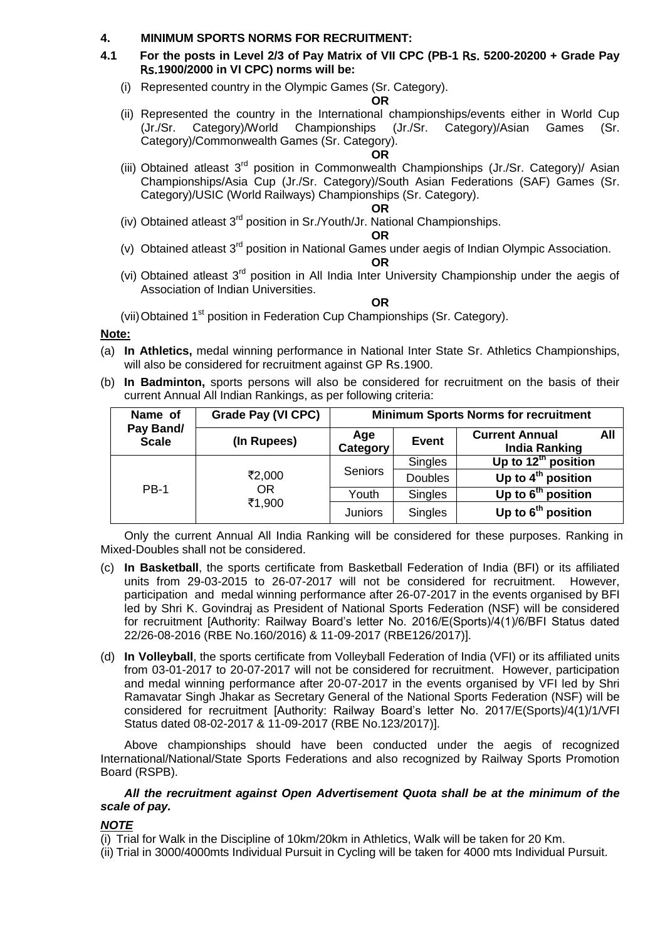## **4. MINIMUM SPORTS NORMS FOR RECRUITMENT:**

- **4.1 For the posts in Level 2/3 of Pay Matrix of VII CPC (PB-1** Rs. **5200-20200 + Grade Pay** Rs.**1900/2000 in VI CPC) norms will be:**
	- (i) Represented country in the Olympic Games (Sr. Category).

### **OR**

(ii) Represented the country in the International championships/events either in World Cup (Jr./Sr. Category)/World Championships (Jr./Sr. Category)/Asian Games (Sr. Category)/Commonwealth Games (Sr. Category).

## **OR**

(iii) Obtained atleast 3<sup>rd</sup> position in Commonwealth Championships (Jr./Sr. Category)/ Asian Championships/Asia Cup (Jr./Sr. Category)/South Asian Federations (SAF) Games (Sr. Category)/USIC (World Railways) Championships (Sr. Category).

#### **OR**

(iv) Obtained atleast  $3^{rd}$  position in Sr./Youth/Jr. National Championships.

### **OR**

(v) Obtained atleast 3rd position in National Games under aegis of Indian Olympic Association.

#### **OR**

(vi) Obtained atleast 3<sup>rd</sup> position in All India Inter University Championship under the aegis of Association of Indian Universities.

#### **OR**

(vii) Obtained 1<sup>st</sup> position in Federation Cup Championships (Sr. Category).

## **Note:**

- (a) **In Athletics,** medal winning performance in National Inter State Sr. Athletics Championships, will also be considered for recruitment against GP Rs.1900.
- (b) **In Badminton,** sports persons will also be considered for recruitment on the basis of their current Annual All Indian Rankings, as per following criteria:

| Name of                   | Grade Pay (VI CPC)            | <b>Minimum Sports Norms for recruitment</b> |                |                                                      |  |  |  |
|---------------------------|-------------------------------|---------------------------------------------|----------------|------------------------------------------------------|--|--|--|
| Pay Band/<br><b>Scale</b> | (In Rupees)                   | Age<br>Category                             | <b>Event</b>   | <b>Current Annual</b><br>All<br><b>India Ranking</b> |  |  |  |
|                           | ₹2,000<br><b>OR</b><br>₹1,900 | Seniors                                     | Singles        | Up to $12th$ position                                |  |  |  |
|                           |                               |                                             | <b>Doubles</b> | Up to $4th$ position                                 |  |  |  |
| <b>PB-1</b>               |                               | Youth                                       | Singles        | Up to 6 <sup>th</sup> position                       |  |  |  |
|                           |                               | <b>Juniors</b>                              | Singles        | Up to $6th$ position                                 |  |  |  |

Only the current Annual All India Ranking will be considered for these purposes. Ranking in Mixed-Doubles shall not be considered.

- (c) **In Basketball**, the sports certificate from Basketball Federation of India (BFI) or its affiliated units from 29-03-2015 to 26-07-2017 will not be considered for recruitment. However, participation and medal winning performance after 26-07-2017 in the events organised by BFI led by Shri K. Govindraj as President of National Sports Federation (NSF) will be considered for recruitment [Authority: Railway Board's letter No. 2016/E(Sports)/4(1)/6/BFI Status dated 22/26-08-2016 (RBE No.160/2016) & 11-09-2017 (RBE126/2017)].
- (d) **In Volleyball**, the sports certificate from Volleyball Federation of India (VFI) or its affiliated units from 03-01-2017 to 20-07-2017 will not be considered for recruitment. However, participation and medal winning performance after 20-07-2017 in the events organised by VFI led by Shri Ramavatar Singh Jhakar as Secretary General of the National Sports Federation (NSF) will be considered for recruitment [Authority: Railway Board's letter No. 2017/E(Sports)/4(1)/1/VFI Status dated 08-02-2017 & 11-09-2017 (RBE No.123/2017)].

Above championships should have been conducted under the aegis of recognized International/National/State Sports Federations and also recognized by Railway Sports Promotion Board (RSPB).

## *All the recruitment against Open Advertisement Quota shall be at the minimum of the scale of pay.*

## *NOTE*

(i) Trial for Walk in the Discipline of 10km/20km in Athletics, Walk will be taken for 20 Km.

(ii) Trial in 3000/4000mts Individual Pursuit in Cycling will be taken for 4000 mts Individual Pursuit.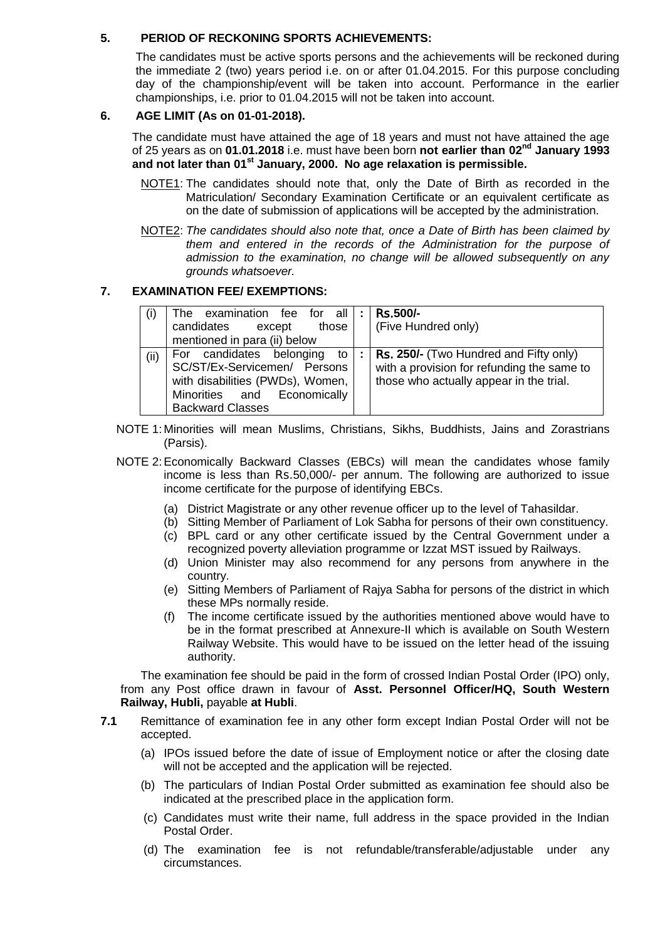# **5. PERIOD OF RECKONING SPORTS ACHIEVEMENTS:**

The candidates must be active sports persons and the achievements will be reckoned during the immediate 2 (two) years period i.e. on or after 01.04.2015. For this purpose concluding day of the championship/event will be taken into account. Performance in the earlier championships, i.e. prior to 01.04.2015 will not be taken into account.

# **6. AGE LIMIT (As on 01-01-2018).**

The candidate must have attained the age of 18 years and must not have attained the age of 25 years as on **01.01.2018** i.e. must have been born **not earlier than 02nd January 1993 and not later than 01st January, 2000. No age relaxation is permissible.**

- NOTE1: The candidates should note that, only the Date of Birth as recorded in the Matriculation/ Secondary Examination Certificate or an equivalent certificate as on the date of submission of applications will be accepted by the administration.
- NOTE2: *The candidates should also note that, once a Date of Birth has been claimed by them and entered in the records of the Administration for the purpose of admission to the examination, no change will be allowed subsequently on any grounds whatsoever.*

## **7. EXAMINATION FEE/ EXEMPTIONS:**

| (i)  | The examination fee for all $ : $<br>candidates except<br>those<br>mentioned in para (ii) below                                                              | <b>Rs.500/-</b><br>(Five Hundred only)                                                                                                 |
|------|--------------------------------------------------------------------------------------------------------------------------------------------------------------|----------------------------------------------------------------------------------------------------------------------------------------|
| (ii) | For candidates belonging<br>to<br>SC/ST/Ex-Servicemen/ Persons<br>with disabilities (PWDs), Women,<br>Minorities and Economically<br><b>Backward Classes</b> | <b>Rs. 250/-</b> (Two Hundred and Fifty only)<br>with a provision for refunding the same to<br>those who actually appear in the trial. |

- NOTE 1: Minorities will mean Muslims, Christians, Sikhs, Buddhists, Jains and Zorastrians (Parsis).
- NOTE 2:Economically Backward Classes (EBCs) will mean the candidates whose family income is less than Rs.50,000/- per annum. The following are authorized to issue income certificate for the purpose of identifying EBCs.
	- (a) District Magistrate or any other revenue officer up to the level of Tahasildar.
	- (b) Sitting Member of Parliament of Lok Sabha for persons of their own constituency.
	- (c) BPL card or any other certificate issued by the Central Government under a recognized poverty alleviation programme or Izzat MST issued by Railways.
	- (d) Union Minister may also recommend for any persons from anywhere in the country.
	- (e) Sitting Members of Parliament of Rajya Sabha for persons of the district in which these MPs normally reside.
	- (f) The income certificate issued by the authorities mentioned above would have to be in the format prescribed at Annexure-II which is available on South Western Railway Website. This would have to be issued on the letter head of the issuing authority.

The examination fee should be paid in the form of crossed Indian Postal Order (IPO) only, from any Post office drawn in favour of **Asst. Personnel Officer/HQ, South Western Railway, Hubli,** payable **at Hubli**.

- **7.1** Remittance of examination fee in any other form except Indian Postal Order will not be accepted.
	- (a) IPOs issued before the date of issue of Employment notice or after the closing date will not be accepted and the application will be rejected.
	- (b) The particulars of Indian Postal Order submitted as examination fee should also be indicated at the prescribed place in the application form.
	- (c) Candidates must write their name, full address in the space provided in the Indian Postal Order.
	- (d) The examination fee is not refundable/transferable/adjustable under any circumstances.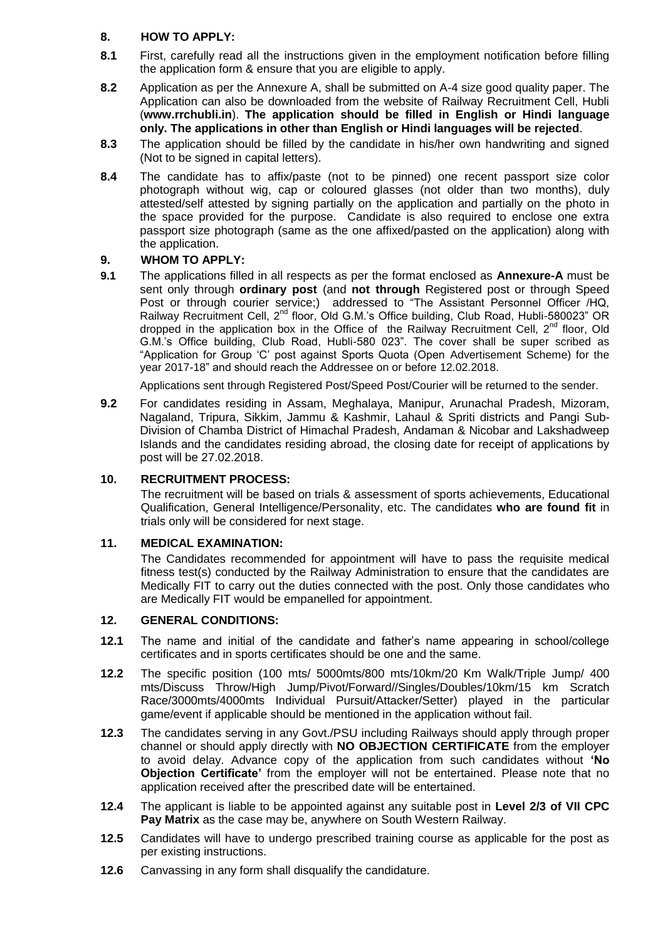# **8. HOW TO APPLY:**

- **8.1** First, carefully read all the instructions given in the employment notification before filling the application form & ensure that you are eligible to apply.
- **8.2** Application as per the Annexure A, shall be submitted on A-4 size good quality paper. The Application can also be downloaded from the website of Railway Recruitment Cell, Hubli (**[www.rrchubli.in](http://www.rrchubli.in/)**). **The application should be filled in English or Hindi language only. The applications in other than English or Hindi languages will be rejected**.
- **8.3** The application should be filled by the candidate in his/her own handwriting and signed (Not to be signed in capital letters).
- **8.4** The candidate has to affix/paste (not to be pinned) one recent passport size color photograph without wig, cap or coloured glasses (not older than two months), duly attested/self attested by signing partially on the application and partially on the photo in the space provided for the purpose. Candidate is also required to enclose one extra passport size photograph (same as the one affixed/pasted on the application) along with the application.

## **9. WHOM TO APPLY:**

**9.1** The applications filled in all respects as per the format enclosed as **Annexure-A** must be sent only through **ordinary post** (and **not through** Registered post or through Speed Post or through courier service;) addressed to "The Assistant Personnel Officer /HQ, Railway Recruitment Cell, 2<sup>nd</sup> floor. Old G.M.'s Office building, Club Road, Hubli-580023" OR dropped in the application box in the Office of the Railway Recruitment Cell,  $2^{nd}$  floor, Old G.M.'s Office building, Club Road, Hubli-580 023". The cover shall be super scribed as "Application for Group 'C' post against Sports Quota (Open Advertisement Scheme) for the year 2017-18" and should reach the Addressee on or before 12.02.2018.

Applications sent through Registered Post/Speed Post/Courier will be returned to the sender.

**9.2** For candidates residing in Assam, Meghalaya, Manipur, Arunachal Pradesh, Mizoram, Nagaland, Tripura, Sikkim, Jammu & Kashmir, Lahaul & Spriti districts and Pangi Sub-Division of Chamba District of Himachal Pradesh, Andaman & Nicobar and Lakshadweep Islands and the candidates residing abroad, the closing date for receipt of applications by post will be 27.02.2018.

# **10. RECRUITMENT PROCESS:**

The recruitment will be based on trials & assessment of sports achievements, Educational Qualification, General Intelligence/Personality, etc. The candidates **who are found fit** in trials only will be considered for next stage.

## **11. MEDICAL EXAMINATION:**

The Candidates recommended for appointment will have to pass the requisite medical fitness test(s) conducted by the Railway Administration to ensure that the candidates are Medically FIT to carry out the duties connected with the post. Only those candidates who are Medically FIT would be empanelled for appointment.

## **12. GENERAL CONDITIONS:**

- **12.1** The name and initial of the candidate and father's name appearing in school/college certificates and in sports certificates should be one and the same.
- **12.2** The specific position (100 mts/ 5000mts/800 mts/10km/20 Km Walk/Triple Jump/ 400 mts/Discuss Throw/High Jump/Pivot/Forward//Singles/Doubles/10km/15 km Scratch Race/3000mts/4000mts Individual Pursuit/Attacker/Setter) played in the particular game/event if applicable should be mentioned in the application without fail.
- **12.3** The candidates serving in any Govt./PSU including Railways should apply through proper channel or should apply directly with **NO OBJECTION CERTIFICATE** from the employer to avoid delay. Advance copy of the application from such candidates without **'No Objection Certificate'** from the employer will not be entertained. Please note that no application received after the prescribed date will be entertained.
- **12.4** The applicant is liable to be appointed against any suitable post in **Level 2/3 of VII CPC Pay Matrix** as the case may be, anywhere on South Western Railway.
- **12.5** Candidates will have to undergo prescribed training course as applicable for the post as per existing instructions.
- **12.6** Canvassing in any form shall disqualify the candidature.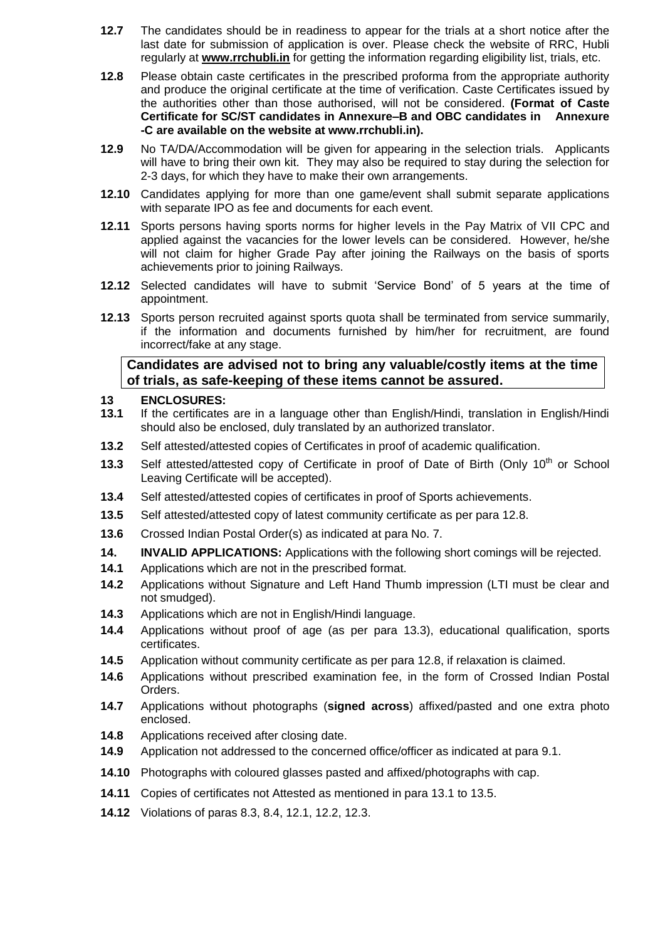- **12.7** The candidates should be in readiness to appear for the trials at a short notice after the last date for submission of application is over. Please check the website of RRC, Hubli regularly at **[www.rrchubli.in](http://www.rrchubli.in/)** for getting the information regarding eligibility list, trials, etc.
- **12.8** Please obtain caste certificates in the prescribed proforma from the appropriate authority and produce the original certificate at the time of verification. Caste Certificates issued by the authorities other than those authorised, will not be considered. **(Format of Caste Certificate for SC/ST candidates in Annexure–B and OBC candidates in Annexure -C are available on the website at [www.rrchubli.in\)](http://www.rrchubli.in/).**
- **12.9** No TA/DA/Accommodation will be given for appearing in the selection trials. Applicants will have to bring their own kit. They may also be required to stay during the selection for 2-3 days, for which they have to make their own arrangements.
- **12.10** Candidates applying for more than one game/event shall submit separate applications with separate IPO as fee and documents for each event.
- **12.11** Sports persons having sports norms for higher levels in the Pay Matrix of VII CPC and applied against the vacancies for the lower levels can be considered. However, he/she will not claim for higher Grade Pay after joining the Railways on the basis of sports achievements prior to joining Railways.
- **12.12** Selected candidates will have to submit 'Service Bond' of 5 years at the time of appointment.
- **12.13** Sports person recruited against sports quota shall be terminated from service summarily, if the information and documents furnished by him/her for recruitment, are found incorrect/fake at any stage.

# **Candidates are advised not to bring any valuable/costly items at the time of trials, as safe-keeping of these items cannot be assured.**

## **13 ENCLOSURES:**

- **13.1** If the certificates are in a language other than English/Hindi, translation in English/Hindi should also be enclosed, duly translated by an authorized translator.
- **13.2** Self attested/attested copies of Certificates in proof of academic qualification.
- 13.3 Self attested/attested copy of Certificate in proof of Date of Birth (Only 10<sup>th</sup> or School Leaving Certificate will be accepted).
- **13.4** Self attested/attested copies of certificates in proof of Sports achievements.
- **13.5** Self attested/attested copy of latest community certificate as per para 12.8.
- **13.6** Crossed Indian Postal Order(s) as indicated at para No. 7.
- **14. INVALID APPLICATIONS:** Applications with the following short comings will be rejected.
- **14.1** Applications which are not in the prescribed format.
- **14.2** Applications without Signature and Left Hand Thumb impression (LTI must be clear and not smudged).
- **14.3** Applications which are not in English/Hindi language.
- **14.4** Applications without proof of age (as per para 13.3), educational qualification, sports certificates.
- **14.5** Application without community certificate as per para 12.8, if relaxation is claimed.
- **14.6** Applications without prescribed examination fee, in the form of Crossed Indian Postal Orders.
- **14.7** Applications without photographs (**signed across**) affixed/pasted and one extra photo enclosed.
- **14.8** Applications received after closing date.
- **14.9** Application not addressed to the concerned office/officer as indicated at para 9.1.
- **14.10** Photographs with coloured glasses pasted and affixed/photographs with cap.
- **14.11** Copies of certificates not Attested as mentioned in para 13.1 to 13.5.
- **14.12** Violations of paras 8.3, 8.4, 12.1, 12.2, 12.3.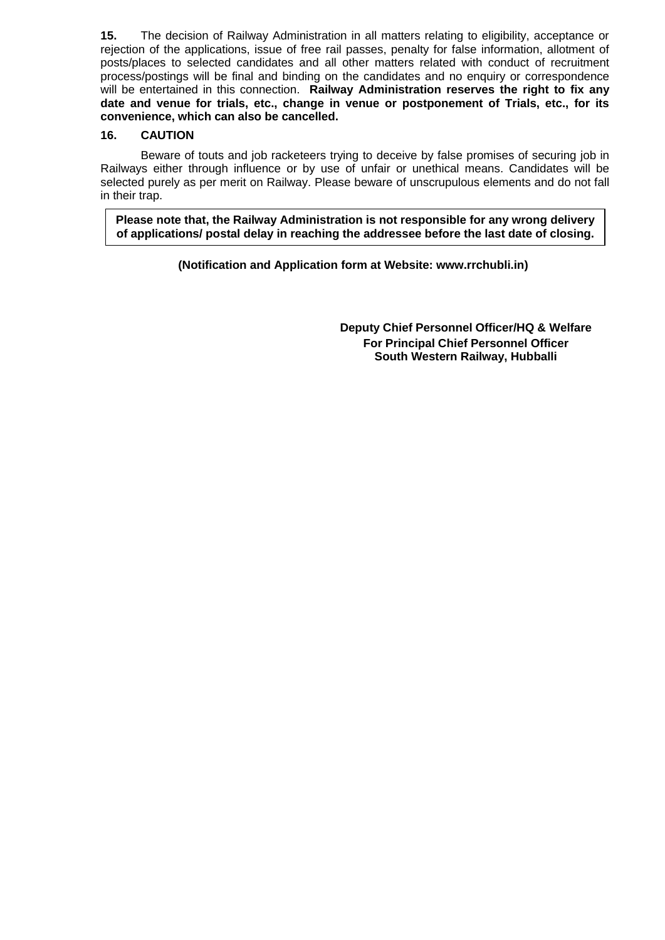**15.** The decision of Railway Administration in all matters relating to eligibility, acceptance or rejection of the applications, issue of free rail passes, penalty for false information, allotment of posts/places to selected candidates and all other matters related with conduct of recruitment process/postings will be final and binding on the candidates and no enquiry or correspondence will be entertained in this connection. **Railway Administration reserves the right to fix any date and venue for trials, etc., change in venue or postponement of Trials, etc., for its convenience, which can also be cancelled.**

# **16. CAUTION**

Beware of touts and job racketeers trying to deceive by false promises of securing job in Railways either through influence or by use of unfair or unethical means. Candidates will be selected purely as per merit on Railway. Please beware of unscrupulous elements and do not fall in their trap.

**Please note that, the Railway Administration is not responsible for any wrong delivery of applications/ postal delay in reaching the addressee before the last date of closing.**

**(Notification and Application form at Website: www.rrchubli.in)**

**Deputy Chief Personnel Officer/HQ & Welfare For Principal Chief Personnel Officer South Western Railway, Hubballi**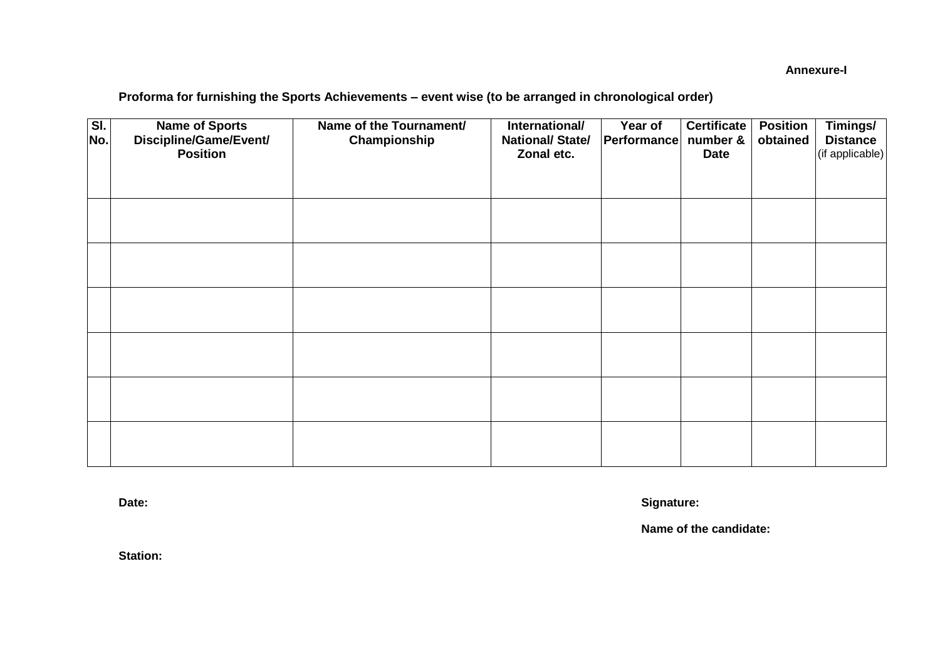**Annexure-I**

# **Proforma for furnishing the Sports Achievements – event wise (to be arranged in chronological order)**

| SI.<br>No. | <b>Name of Sports</b><br>Discipline/Game/Event/<br><b>Position</b> | Name of the Tournament/<br>Championship | International/<br><b>National/ State/</b><br>Zonal etc. | Year of<br>Performance | <b>Certificate</b><br>number &<br><b>Date</b> | <b>Position</b><br>obtained | Timings/<br><b>Distance</b><br>(if applicable) |
|------------|--------------------------------------------------------------------|-----------------------------------------|---------------------------------------------------------|------------------------|-----------------------------------------------|-----------------------------|------------------------------------------------|
|            |                                                                    |                                         |                                                         |                        |                                               |                             |                                                |
|            |                                                                    |                                         |                                                         |                        |                                               |                             |                                                |
|            |                                                                    |                                         |                                                         |                        |                                               |                             |                                                |
|            |                                                                    |                                         |                                                         |                        |                                               |                             |                                                |
|            |                                                                    |                                         |                                                         |                        |                                               |                             |                                                |
|            |                                                                    |                                         |                                                         |                        |                                               |                             |                                                |
|            |                                                                    |                                         |                                                         |                        |                                               |                             |                                                |

**Date: Signature:**

**Name of the candidate:**

**Station:**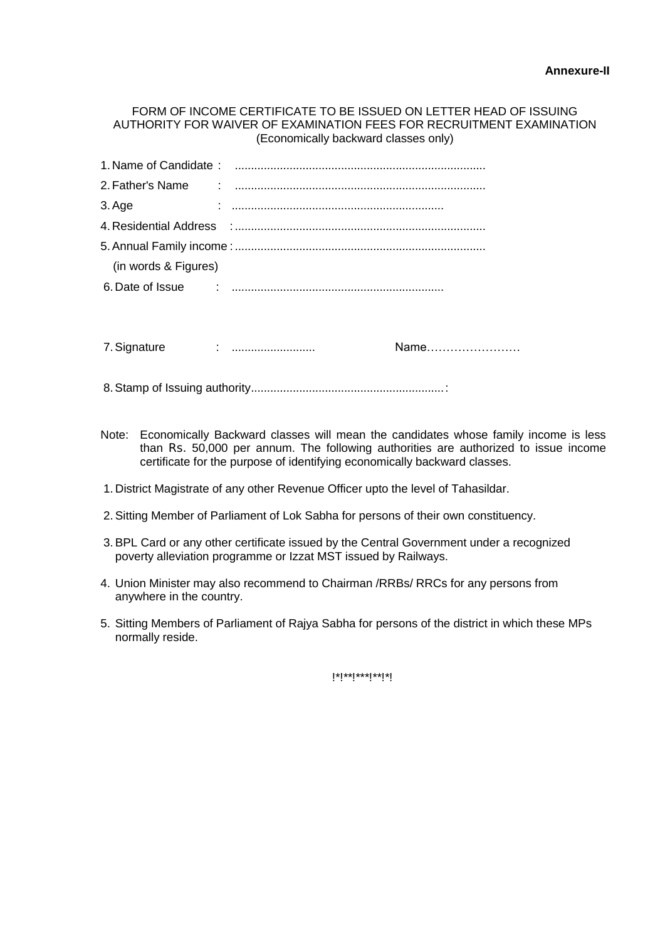## FORM OF INCOME CERTIFICATE TO BE ISSUED ON LETTER HEAD OF ISSUING AUTHORITY FOR WAIVER OF EXAMINATION FEES FOR RECRUITMENT EXAMINATION (Economically backward classes only)

| 3. Age               |                                                                                                               |      |
|----------------------|---------------------------------------------------------------------------------------------------------------|------|
|                      |                                                                                                               |      |
|                      |                                                                                                               |      |
| (in words & Figures) |                                                                                                               |      |
|                      |                                                                                                               |      |
|                      |                                                                                                               |      |
|                      |                                                                                                               |      |
| 7. Signature         | and the continuum of the continuum of the continuum of the continuum of the continuum of the continuum of the | Name |
|                      |                                                                                                               |      |

8.Stamp of Issuing authority............................................................:

- Note: Economically Backward classes will mean the candidates whose family income is less than Rs. 50,000 per annum. The following authorities are authorized to issue income certificate for the purpose of identifying economically backward classes.
- 1. District Magistrate of any other Revenue Officer upto the level of Tahasildar.
- 2.Sitting Member of Parliament of Lok Sabha for persons of their own constituency.
- 3.BPL Card or any other certificate issued by the Central Government under a recognized poverty alleviation programme or Izzat MST issued by Railways.
- 4. Union Minister may also recommend to Chairman /RRBs/ RRCs for any persons from anywhere in the country.
- 5. Sitting Members of Parliament of Rajya Sabha for persons of the district in which these MPs normally reside.

!\*!\*\*!\*\*\*!\*\*!\*!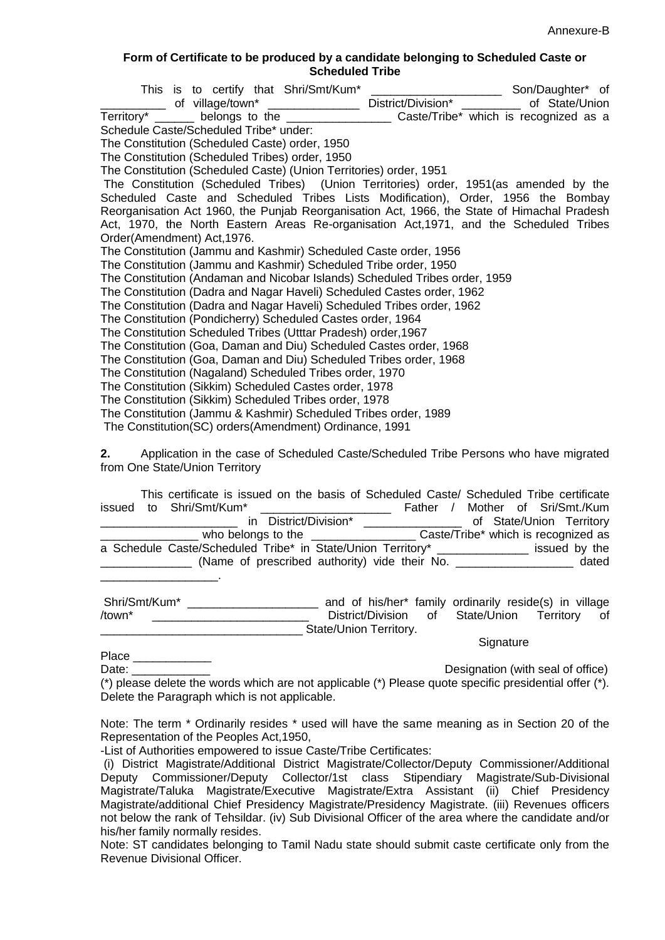### **Form of Certificate to be produced by a candidate belonging to Scheduled Caste or Scheduled Tribe**

| Schedule Caste/Scheduled Tribe* under:                                                      |  |
|---------------------------------------------------------------------------------------------|--|
| The Constitution (Scheduled Caste) order, 1950                                              |  |
| The Constitution (Scheduled Tribes) order, 1950                                             |  |
| The Constitution (Scheduled Caste) (Union Territories) order, 1951                          |  |
| The Constitution (Scheduled Tribes) (Union Territories) order, 1951 (as amended by the      |  |
| Scheduled Caste and Scheduled Tribes Lists Modification), Order, 1956 the Bombay            |  |
| Reorganisation Act 1960, the Punjab Reorganisation Act, 1966, the State of Himachal Pradesh |  |
| Act, 1970, the North Eastern Areas Re-organisation Act, 1971, and the Scheduled Tribes      |  |
| Order(Amendment) Act, 1976.                                                                 |  |
| The Constitution (Jammu and Kashmir) Scheduled Caste order, 1956                            |  |
| The Constitution (Jammu and Kashmir) Scheduled Tribe order, 1950                            |  |
| The Constitution (Andaman and Nicobar Islands) Scheduled Tribes order, 1959                 |  |
| The Constitution (Dadra and Nagar Haveli) Scheduled Castes order, 1962                      |  |
| The Constitution (Dadra and Nagar Haveli) Scheduled Tribes order, 1962                      |  |
| The Constitution (Pondicherry) Scheduled Castes order, 1964                                 |  |
| The Constitution Scheduled Tribes (Utttar Pradesh) order, 1967                              |  |
| The Constitution (Goa, Daman and Diu) Scheduled Castes order, 1968                          |  |
| The Constitution (Goa, Daman and Diu) Scheduled Tribes order, 1968                          |  |
| The Constitution (Nagaland) Scheduled Tribes order, 1970                                    |  |
| The Constitution (Sikkim) Scheduled Castes order, 1978                                      |  |
| The Constitution (Sikkim) Scheduled Tribes order, 1978                                      |  |
| The Constitution (Jammu & Kashmir) Scheduled Tribes order, 1989                             |  |
| The Constitution(SC) orders(Amendment) Ordinance, 1991                                      |  |
| Application in the case of Scheduled Caste/Scheduled Tribe Persons who have migrated<br>2.  |  |

reduled Caste/Scheduled from One State/Union Territory

|  | This certificate is issued on the basis of Scheduled Caste/ Scheduled Tribe certificate |          |                                     |
|--|-----------------------------------------------------------------------------------------|----------|-------------------------------------|
|  | issued to Shri/Smt/Kum*                                                                 | Father / | Mother of Sri/Smt./Kum              |
|  | in District/Division*                                                                   |          | of State/Union Territory            |
|  | who belongs to the _____________                                                        |          | Caste/Tribe* which is recognized as |
|  | a Schedule Caste/Scheduled Tribe* in State/Union Territory* ____________________        |          | issued by the                       |
|  |                                                                                         |          | dated                               |
|  |                                                                                         |          |                                     |

| Shri/Smt/Kum*          |  |  |                      |  | and of his/her* family ordinarily reside(s) in village |  |  |  |
|------------------------|--|--|----------------------|--|--------------------------------------------------------|--|--|--|
| /town*                 |  |  | District/Division of |  | State/Union Territory of                               |  |  |  |
| State/Union Territory. |  |  |                      |  |                                                        |  |  |  |

**Signature** 

Date: **Date: Designation (with seal of office)** (\*) please delete the words which are not applicable (\*) Please quote specific presidential offer (\*). Delete the Paragraph which is not applicable.

Note: The term \* Ordinarily resides \* used will have the same meaning as in Section 20 of the Representation of the Peoples Act,1950,

-List of Authorities empowered to issue Caste/Tribe Certificates:

Place **and the set of the set of the set of the set of the set of the set of the set of the set of the set of the set of the set of the set of the set of the set of the set of the set of the set of the set of the set of th** 

Note: ST candidates belonging to Tamil Nadu state should submit caste certificate only from the Revenue Divisional Officer.

<sup>(</sup>i) District Magistrate/Additional District Magistrate/Collector/Deputy Commissioner/Additional Deputy Commissioner/Deputy Collector/1st class Stipendiary Magistrate/Sub-Divisional Magistrate/Taluka Magistrate/Executive Magistrate/Extra Assistant (ii) Chief Presidency Magistrate/additional Chief Presidency Magistrate/Presidency Magistrate. (iii) Revenues officers not below the rank of Tehsildar. (iv) Sub Divisional Officer of the area where the candidate and/or his/her family normally resides.